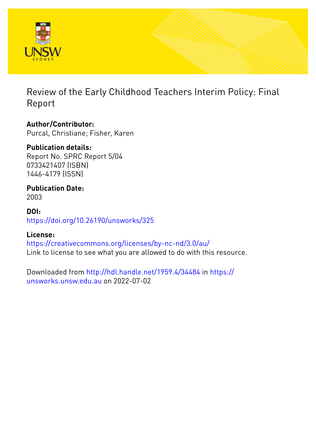

Review of the Early Childhood Teachers Interim Policy: Final Report

## **Author/Contributor:**

Purcal, Christiane; Fisher, Karen

## **Publication details:**

Report No. SPRC Report 5/04 0733421407 (ISBN) 1446-4179 (ISSN)

### **Publication Date:** 2003

**DOI:**

[https://doi.org/10.26190/unsworks/325](http://dx.doi.org/https://doi.org/10.26190/unsworks/325)

## **License:**

<https://creativecommons.org/licenses/by-nc-nd/3.0/au/> Link to license to see what you are allowed to do with this resource.

Downloaded from <http://hdl.handle.net/1959.4/34484> in [https://](https://unsworks.unsw.edu.au) [unsworks.unsw.edu.au](https://unsworks.unsw.edu.au) on 2022-07-02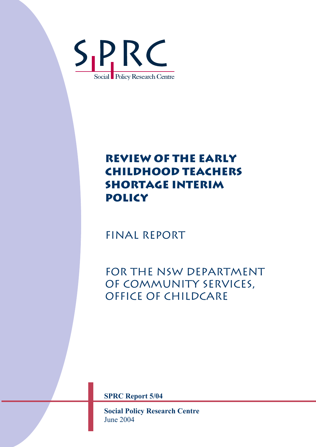

# **REVIEW OF THE EARLY CHILDHOOD TEACHERS SHORTAGE INTERIM POLICY**

Final Report

FOR THE NSW DEPARTMENT of Community Services, Office of Childcare

**SPRC Report 5/04** 

**Social Policy Research Centre**  June 2004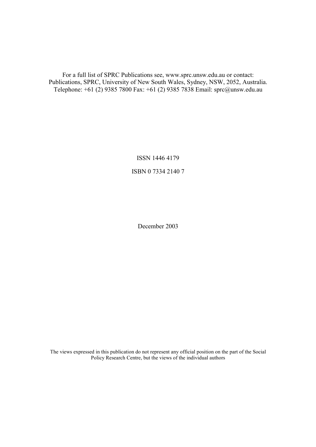For a full list of SPRC Publications see, www.sprc.unsw.edu.au or contact: Publications, SPRC, University of New South Wales, Sydney, NSW, 2052, Australia. Telephone: +61 (2) 9385 7800 Fax: +61 (2) 9385 7838 Email: sprc@unsw.edu.au

> ISSN 1446 4179 ISBN 0 7334 2140 7

> > December 2003

The views expressed in this publication do not represent any official position on the part of the Social Policy Research Centre, but the views of the individual authors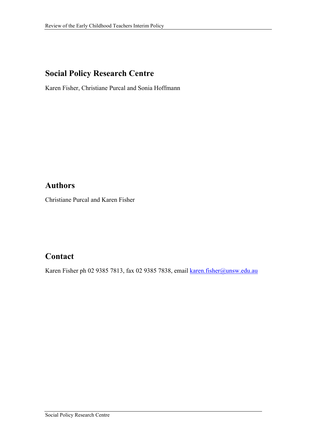## **Social Policy Research Centre**

Karen Fisher, Christiane Purcal and Sonia Hoffmann

## **Authors**

Christiane Purcal and Karen Fisher

## **Contact**

Karen Fisher ph 02 9385 7813, fax 02 9385 7838, email karen.fisher@unsw.edu.au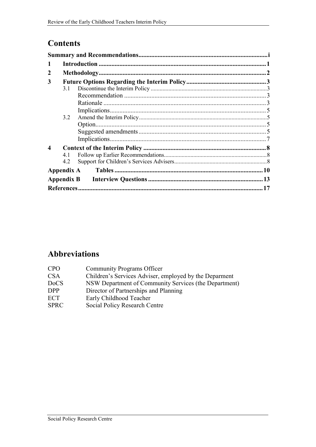## **Contents**

| 2                |     |  |  |  |  |  |
|------------------|-----|--|--|--|--|--|
| 3                |     |  |  |  |  |  |
|                  | 3.1 |  |  |  |  |  |
|                  |     |  |  |  |  |  |
|                  |     |  |  |  |  |  |
|                  |     |  |  |  |  |  |
|                  | 3.2 |  |  |  |  |  |
|                  |     |  |  |  |  |  |
|                  |     |  |  |  |  |  |
|                  |     |  |  |  |  |  |
| $\boldsymbol{4}$ |     |  |  |  |  |  |
|                  | 41  |  |  |  |  |  |
|                  | 4.2 |  |  |  |  |  |
|                  |     |  |  |  |  |  |
|                  |     |  |  |  |  |  |
|                  |     |  |  |  |  |  |

## **Abbreviations**

| CPO         | <b>Community Programs Officer</b>                      |
|-------------|--------------------------------------------------------|
| CSA         | Children's Services Adviser, employed by the Deparment |
| <b>DoCS</b> | NSW Department of Community Services (the Department)  |
| <b>DPP</b>  | Director of Partnerships and Planning                  |
| ECT         | Early Childhood Teacher                                |
| <b>SPRC</b> | Social Policy Research Centre                          |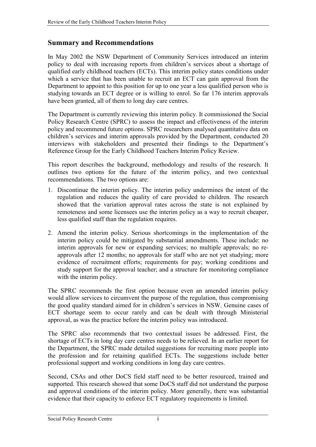### <span id="page-5-0"></span>**Summary and Recommendations**

In May 2002 the NSW Department of Community Services introduced an interim policy to deal with increasing reports from children's services about a shortage of qualified early childhood teachers (ECTs). This interim policy states conditions under which a service that has been unable to recruit an ECT can gain approval from the Department to appoint to this position for up to one year a less qualified person who is studying towards an ECT degree or is willing to enrol. So far 176 interim approvals have been granted, all of them to long day care centres.

The Department is currently reviewing this interim policy. It commissioned the Social Policy Research Centre (SPRC) to assess the impact and effectiveness of the interim policy and recommend future options. SPRC researchers analysed quantitative data on children's services and interim approvals provided by the Department, conducted 20 interviews with stakeholders and presented their findings to the Department's Reference Group for the Early Childhood Teachers Interim Policy Review.

This report describes the background, methodology and results of the research. It outlines two options for the future of the interim policy, and two contextual recommendations. The two options are:

- 1. Discontinue the interim policy. The interim policy undermines the intent of the regulation and reduces the quality of care provided to children. The research showed that the variation approval rates across the state is not explained by remoteness and some licensees use the interim policy as a way to recruit cheaper, less qualified staff than the regulation requires.
- 2. Amend the interim policy. Serious shortcomings in the implementation of the interim policy could be mitigated by substantial amendments. These include: no interim approvals for new or expanding services; no multiple approvals; no reapprovals after 12 months; no approvals for staff who are not yet studying; more evidence of recruitment efforts; requirements for pay; working conditions and study support for the approval teacher; and a structure for monitoring compliance with the interim policy.

The SPRC recommends the first option because even an amended interim policy would allow services to circumvent the purpose of the regulation, thus compromising the good quality standard aimed for in children's services in NSW. Genuine cases of ECT shortage seem to occur rarely and can be dealt with through Ministerial approval, as was the practice before the interim policy was introduced.

The SPRC also recommends that two contextual issues be addressed. First, the shortage of ECTs in long day care centres needs to be relieved. In an earlier report for the Department, the SPRC made detailed suggestions for recruiting more people into the profession and for retaining qualified ECTs. The suggestions include better professional support and working conditions in long day care centres.

Second, CSAs and other DoCS field staff need to be better resourced, trained and supported. This research showed that some DoCS staff did not understand the purpose and approval conditions of the interim policy. More generally, there was substantial evidence that their capacity to enforce ECT regulatory requirements is limited.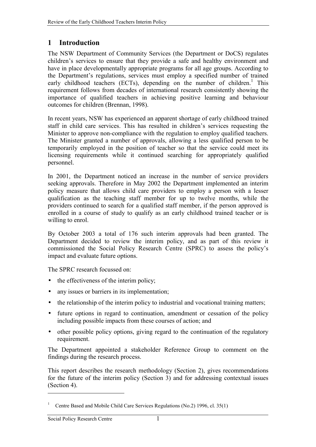## <span id="page-6-0"></span>**1 Introduction**

The NSW Department of Community Services (the Department or DoCS) regulates children's services to ensure that they provide a safe and healthy environment and have in place developmentally appropriate programs for all age groups. According to the Department's regulations, services must employ a specified number of trained early childhood teachers (ECTs), depending on the number of children.<sup>1</sup> This requirement follows from decades of international research consistently showing the importance of qualified teachers in achieving positive learning and behaviour outcomes for children (Brennan, 1998).

In recent years, NSW has experienced an apparent shortage of early childhood trained staff in child care services. This has resulted in children's services requesting the Minister to approve non-compliance with the regulation to employ qualified teachers. The Minister granted a number of approvals, allowing a less qualified person to be temporarily employed in the position of teacher so that the service could meet its licensing requirements while it continued searching for appropriately qualified personnel.

In 2001, the Department noticed an increase in the number of service providers seeking approvals. Therefore in May 2002 the Department implemented an interim policy measure that allows child care providers to employ a person with a lesser qualification as the teaching staff member for up to twelve months, while the providers continued to search for a qualified staff member, if the person approved is enrolled in a course of study to qualify as an early childhood trained teacher or is willing to enrol.

By October 2003 a total of 176 such interim approvals had been granted. The Department decided to review the interim policy, and as part of this review it commissioned the Social Policy Research Centre (SPRC) to assess the policy's impact and evaluate future options.

The SPRC research focussed on:

- the effectiveness of the interim policy;
- any issues or barriers in its implementation;
- the relationship of the interim policy to industrial and vocational training matters;
- future options in regard to continuation, amendment or cessation of the policy including possible impacts from these courses of action; and
- other possible policy options, giving regard to the continuation of the regulatory requirement.

The Department appointed a stakeholder Reference Group to comment on the findings during the research process.

This report describes the research methodology (Section 2), gives recommendations for the future of the interim policy (Section 3) and for addressing contextual issues (Section 4).

 $\overline{a}$ 

<sup>1</sup> Centre Based and Mobile Child Care Services Regulations (No.2) 1996, cl. 35(1)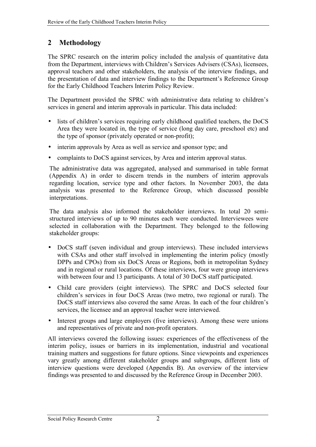## <span id="page-7-0"></span>**2 Methodology**

The SPRC research on the interim policy included the analysis of quantitative data from the Department, interviews with Children's Services Advisers (CSAs), licensees, approval teachers and other stakeholders, the analysis of the interview findings, and the presentation of data and interview findings to the Department's Reference Group for the Early Childhood Teachers Interim Policy Review.

The Department provided the SPRC with administrative data relating to children's services in general and interim approvals in particular. This data included:

- lists of children's services requiring early childhood qualified teachers, the DoCS Area they were located in, the type of service (long day care, preschool etc) and the type of sponsor (privately operated or non-profit);
- interim approvals by Area as well as service and sponsor type; and
- complaints to DoCS against services, by Area and interim approval status.

The administrative data was aggregated, analysed and summarised in table format (Appendix A) in order to discern trends in the numbers of interim approvals regarding location, service type and other factors. In November 2003, the data analysis was presented to the Reference Group, which discussed possible interpretations.

The data analysis also informed the stakeholder interviews. In total 20 semistructured interviews of up to 90 minutes each were conducted. Interviewees were selected in collaboration with the Department. They belonged to the following stakeholder groups:

- DoCS staff (seven individual and group interviews). These included interviews with CSAs and other staff involved in implementing the interim policy (mostly DPPs and CPOs) from six DoCS Areas or Regions, both in metropolitan Sydney and in regional or rural locations. Of these interviews, four were group interviews with between four and 13 participants. A total of 30 DoCS staff participated.
- Child care providers (eight interviews). The SPRC and DoCS selected four children's services in four DoCS Areas (two metro, two regional or rural). The DoCS staff interviews also covered the same Areas. In each of the four children's services, the licensee and an approval teacher were interviewed.
- Interest groups and large employers (five interviews). Among these were unions and representatives of private and non-profit operators.

All interviews covered the following issues: experiences of the effectiveness of the interim policy, issues or barriers in its implementation, industrial and vocational training matters and suggestions for future options. Since viewpoints and experiences vary greatly among different stakeholder groups and subgroups, different lists of interview questions were developed (Appendix B). An overview of the interview findings was presented to and discussed by the Reference Group in December 2003.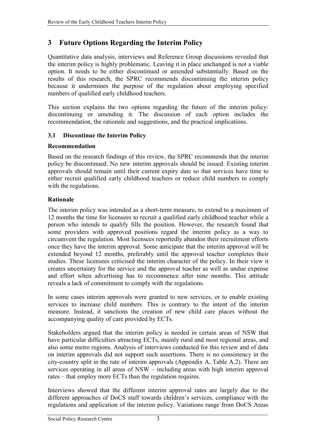## <span id="page-8-0"></span>**3 Future Options Regarding the Interim Policy**

Quantitative data analysis, interviews and Reference Group discussions revealed that the interim policy is highly problematic. Leaving it in place unchanged is not a viable option. It needs to be either discontinued or amended substantially. Based on the results of this research, the SPRC recommends discontinuing the interim policy because it undermines the purpose of the regulation about employing specified numbers of qualified early childhood teachers.

This section explains the two options regarding the future of the interim policy: discontinuing or amending it. The discussion of each option includes the recommendation, the rationale and suggestions, and the practical implications.

## **3.1 Discontinue the Interim Policy**

### **Recommendation**

Based on the research findings of this review, the SPRC recommends that the interim policy be discontinued. No new interim approvals should be issued. Existing interim approvals should remain until their current expiry date so that services have time to either recruit qualified early childhood teachers or reduce child numbers to comply with the regulations.

## **Rationale**

The interim policy was intended as a short-term measure, to extend to a maximum of 12 months the time for licensees to recruit a qualified early childhood teacher while a person who intends to qualify fills the position. However, the research found that some providers with approved positions regard the interim policy as a way to circumvent the regulation. Most licensees reportedly abandon their recruitment efforts once they have the interim approval. Some anticipate that the interim approval will be extended beyond 12 months, preferably until the approval teacher completes their studies. These licensees criticised the interim character of the policy. In their view it creates uncertainty for the service and the approval teacher as well as undue expense and effort when advertising has to recommence after nine months. This attitude reveals a lack of commitment to comply with the regulations.

In some cases interim approvals were granted to new services, or to enable existing services to increase child numbers. This is contrary to the intent of the interim measure. Instead, it sanctions the creation of new child care places without the accompanying quality of care provided by ECTs.

Stakeholders argued that the interim policy is needed in certain areas of NSW that have particular difficulties attracting ECTs, mainly rural and most regional areas, and also some metro regions. Analysis of interviews conducted for this review and of data on interim approvals did not support such assertions. There is no consistency in the city-country split in the rate of interim approvals (Appendix A, Table A.2). There are services operating in all areas of  $NSW$  – including areas with high interim approval rates – that employ more ECTs than the regulation requires.

Interviews showed that the different interim approval rates are largely due to the different approaches of DoCS staff towards children's services, compliance with the regulations and application of the interim policy. Variations range from DoCS Areas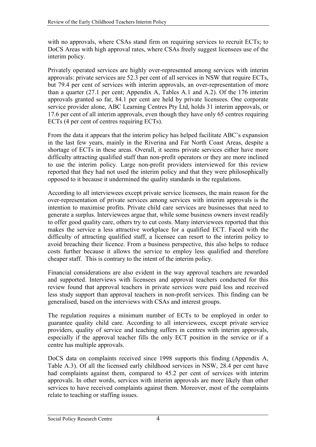with no approvals, where CSAs stand firm on requiring services to recruit ECTs; to DoCS Areas with high approval rates, where CSAs freely suggest licensees use of the interim policy.

Privately operated services are highly over-represented among services with interim approvals: private services are 52.3 per cent of all services in NSW that require ECTs, but 79.4 per cent of services with interim approvals, an over-representation of more than a quarter (27.1 per cent; Appendix A, Tables A.1 and A.2). Of the 176 interim approvals granted so far, 84.1 per cent are held by private licensees. One corporate service provider alone, ABC Learning Centres Pty Ltd, holds 31 interim approvals, or 17.6 per cent of all interim approvals, even though they have only 65 centres requiring ECTs (4 per cent of centres requiring ECTs).

From the data it appears that the interim policy has helped facilitate ABC's expansion in the last few years, mainly in the Riverina and Far North Coast Areas, despite a shortage of ECTs in these areas. Overall, it seems private services either have more difficulty attracting qualified staff than non-profit operators or they are more inclined to use the interim policy. Large non-profit providers interviewed for this review reported that they had not used the interim policy and that they were philosophically opposed to it because it undermined the quality standards in the regulations.

According to all interviewees except private service licensees, the main reason for the over-representation of private services among services with interim approvals is the intention to maximise profits. Private child care services are businesses that need to generate a surplus. Interviewees argue that, while some business owners invest readily to offer good quality care, others try to cut costs. Many interviewees reported that this makes the service a less attractive workplace for a qualified ECT. Faced with the difficulty of attracting qualified staff, a licensee can resort to the interim policy to avoid breaching their licence. From a business perspective, this also helps to reduce costs further because it allows the service to employ less qualified and therefore cheaper staff. This is contrary to the intent of the interim policy.

Financial considerations are also evident in the way approval teachers are rewarded and supported. Interviews with licensees and approval teachers conducted for this review found that approval teachers in private services were paid less and received less study support than approval teachers in non-profit services. This finding can be generalised, based on the interviews with CSAs and interest groups.

The regulation requires a minimum number of ECTs to be employed in order to guarantee quality child care. According to all interviewees, except private service providers, quality of service and teaching suffers in centres with interim approvals, especially if the approval teacher fills the only ECT position in the service or if a centre has multiple approvals.

DoCS data on complaints received since 1998 supports this finding (Appendix A, Table A.3). Of all the licensed early childhood services in NSW, 28.4 per cent have had complaints against them, compared to 45.2 per cent of services with interim approvals. In other words, services with interim approvals are more likely than other services to have received complaints against them. Moreover, most of the complaints relate to teaching or staffing issues.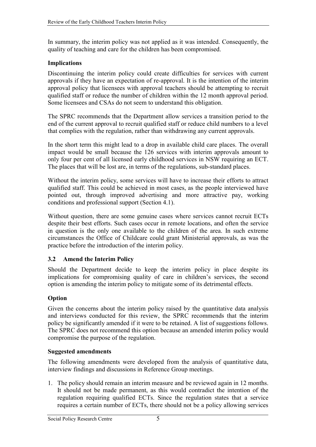<span id="page-10-0"></span>In summary, the interim policy was not applied as it was intended. Consequently, the quality of teaching and care for the children has been compromised.

### **Implications**

Discontinuing the interim policy could create difficulties for services with current approvals if they have an expectation of re-approval. It is the intention of the interim approval policy that licensees with approval teachers should be attempting to recruit qualified staff or reduce the number of children within the 12 month approval period. Some licensees and CSAs do not seem to understand this obligation.

The SPRC recommends that the Department allow services a transition period to the end of the current approval to recruit qualified staff or reduce child numbers to a level that complies with the regulation, rather than withdrawing any current approvals.

In the short term this might lead to a drop in available child care places. The overall impact would be small because the 126 services with interim approvals amount to only four per cent of all licensed early childhood services in NSW requiring an ECT. The places that will be lost are, in terms of the regulations, sub-standard places.

Without the interim policy, some services will have to increase their efforts to attract qualified staff. This could be achieved in most cases, as the people interviewed have pointed out, through improved advertising and more attractive pay, working conditions and professional support (Section [4.1\)](#page-13-0).

Without question, there are some genuine cases where services cannot recruit ECTs despite their best efforts. Such cases occur in remote locations, and often the service in question is the only one available to the children of the area. In such extreme circumstances the Office of Childcare could grant Ministerial approvals, as was the practice before the introduction of the interim policy.

### **3.2 Amend the Interim Policy**

Should the Department decide to keep the interim policy in place despite its implications for compromising quality of care in children's services, the second option is amending the interim policy to mitigate some of its detrimental effects.

### **Option**

Given the concerns about the interim policy raised by the quantitative data analysis and interviews conducted for this review, the SPRC recommends that the interim policy be significantly amended if it were to be retained. A list of suggestions follows. The SPRC does not recommend this option because an amended interim policy would compromise the purpose of the regulation.

### **Suggested amendments**

The following amendments were developed from the analysis of quantitative data, interview findings and discussions in Reference Group meetings.

1. The policy should remain an interim measure and be reviewed again in 12 months. It should not be made permanent, as this would contradict the intention of the regulation requiring qualified ECTs. Since the regulation states that a service requires a certain number of ECTs, there should not be a policy allowing services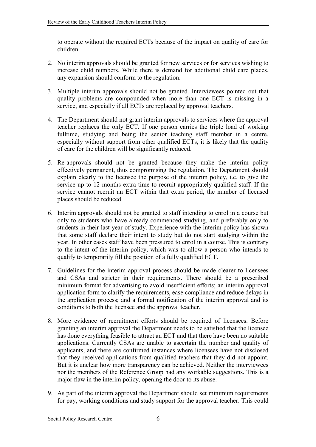to operate without the required ECTs because of the impact on quality of care for children.

- 2. No interim approvals should be granted for new services or for services wishing to increase child numbers. While there is demand for additional child care places, any expansion should conform to the regulation.
- 3. Multiple interim approvals should not be granted. Interviewees pointed out that quality problems are compounded when more than one ECT is missing in a service, and especially if all ECTs are replaced by approval teachers.
- 4. The Department should not grant interim approvals to services where the approval teacher replaces the only ECT. If one person carries the triple load of working fulltime, studying and being the senior teaching staff member in a centre, especially without support from other qualified ECTs, it is likely that the quality of care for the children will be significantly reduced.
- 5. Re-approvals should not be granted because they make the interim policy effectively permanent, thus compromising the regulation. The Department should explain clearly to the licensee the purpose of the interim policy, i.e. to give the service up to 12 months extra time to recruit appropriately qualified staff. If the service cannot recruit an ECT within that extra period, the number of licensed places should be reduced.
- 6. Interim approvals should not be granted to staff intending to enrol in a course but only to students who have already commenced studying, and preferably only to students in their last year of study. Experience with the interim policy has shown that some staff declare their intent to study but do not start studying within the year. In other cases staff have been pressured to enrol in a course. This is contrary to the intent of the interim policy, which was to allow a person who intends to qualify to temporarily fill the position of a fully qualified ECT.
- 7. Guidelines for the interim approval process should be made clearer to licensees and CSAs and stricter in their requirements. There should be a prescribed minimum format for advertising to avoid insufficient efforts; an interim approval application form to clarify the requirements, ease compliance and reduce delays in the application process; and a formal notification of the interim approval and its conditions to both the licensee and the approval teacher.
- 8. More evidence of recruitment efforts should be required of licensees. Before granting an interim approval the Department needs to be satisfied that the licensee has done everything feasible to attract an ECT and that there have been no suitable applications. Currently CSAs are unable to ascertain the number and quality of applicants, and there are confirmed instances where licensees have not disclosed that they received applications from qualified teachers that they did not appoint. But it is unclear how more transparency can be achieved. Neither the interviewees nor the members of the Reference Group had any workable suggestions. This is a major flaw in the interim policy, opening the door to its abuse.
- 9. As part of the interim approval the Department should set minimum requirements for pay, working conditions and study support for the approval teacher. This could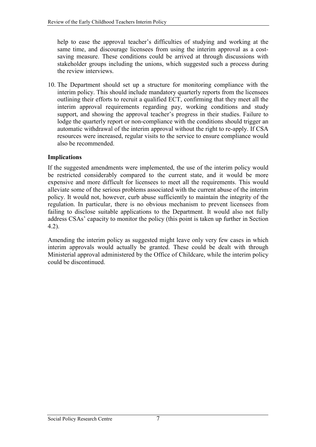<span id="page-12-0"></span>help to ease the approval teacher's difficulties of studying and working at the same time, and discourage licensees from using the interim approval as a costsaving measure. These conditions could be arrived at through discussions with stakeholder groups including the unions, which suggested such a process during the review interviews.

10. The Department should set up a structure for monitoring compliance with the interim policy. This should include mandatory quarterly reports from the licensees outlining their efforts to recruit a qualified ECT, confirming that they meet all the interim approval requirements regarding pay, working conditions and study support, and showing the approval teacher's progress in their studies. Failure to lodge the quarterly report or non-compliance with the conditions should trigger an automatic withdrawal of the interim approval without the right to re-apply. If CSA resources were increased, regular visits to the service to ensure compliance would also be recommended.

### **Implications**

If the suggested amendments were implemented, the use of the interim policy would be restricted considerably compared to the current state, and it would be more expensive and more difficult for licensees to meet all the requirements. This would alleviate some of the serious problems associated with the current abuse of the interim policy. It would not, however, curb abuse sufficiently to maintain the integrity of the regulation. In particular, there is no obvious mechanism to prevent licensees from failing to disclose suitable applications to the Department. It would also not fully address CSAs' capacity to monitor the policy (this point is taken up further in Section 4.2).

Amending the interim policy as suggested might leave only very few cases in which interim approvals would actually be granted. These could be dealt with through Ministerial approval administered by the Office of Childcare, while the interim policy could be discontinued.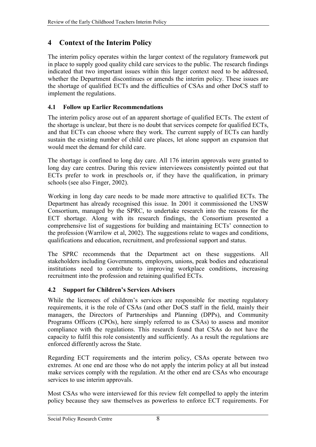## <span id="page-13-0"></span>**4 Context of the Interim Policy**

The interim policy operates within the larger context of the regulatory framework put in place to supply good quality child care services to the public. The research findings indicated that two important issues within this larger context need to be addressed, whether the Department discontinues or amends the interim policy. These issues are the shortage of qualified ECTs and the difficulties of CSAs and other DoCS staff to implement the regulations.

## **4.1 Follow up Earlier Recommendations**

The interim policy arose out of an apparent shortage of qualified ECTs. The extent of the shortage is unclear, but there is no doubt that services compete for qualified ECTs, and that ECTs can choose where they work. The current supply of ECTs can hardly sustain the existing number of child care places, let alone support an expansion that would meet the demand for child care.

The shortage is confined to long day care. All 176 interim approvals were granted to long day care centres. During this review interviewees consistently pointed out that ECTs prefer to work in preschools or, if they have the qualification, in primary schools (see also Finger, 2002).

Working in long day care needs to be made more attractive to qualified ECTs. The Department has already recognised this issue. In 2001 it commissioned the UNSW Consortium, managed by the SPRC, to undertake research into the reasons for the ECT shortage. Along with its research findings, the Consortium presented a comprehensive list of suggestions for building and maintaining ECTs' connection to the profession (Warrilow et al, 2002). The suggestions relate to wages and conditions, qualifications and education, recruitment, and professional support and status.

The SPRC recommends that the Department act on these suggestions. All stakeholders including Governments, employers, unions, peak bodies and educational institutions need to contribute to improving workplace conditions, increasing recruitment into the profession and retaining qualified ECTs.

## **4.2 Support for Children's Services Advisers**

While the licensees of children's services are responsible for meeting regulatory requirements, it is the role of CSAs (and other DoCS staff in the field, mainly their managers, the Directors of Partnerships and Planning (DPPs), and Community Programs Officers (CPOs), here simply referred to as CSAs) to assess and monitor compliance with the regulations. This research found that CSAs do not have the capacity to fulfil this role consistently and sufficiently. As a result the regulations are enforced differently across the State.

Regarding ECT requirements and the interim policy, CSAs operate between two extremes. At one end are those who do not apply the interim policy at all but instead make services comply with the regulation. At the other end are CSAs who encourage services to use interim approvals.

Most CSAs who were interviewed for this review felt compelled to apply the interim policy because they saw themselves as powerless to enforce ECT requirements. For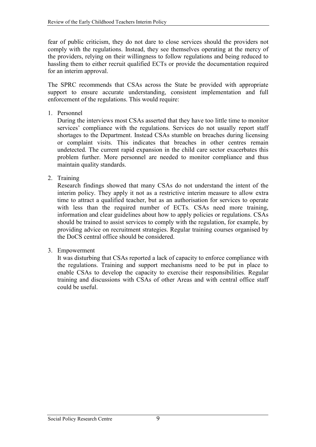fear of public criticism, they do not dare to close services should the providers not comply with the regulations. Instead, they see themselves operating at the mercy of the providers, relying on their willingness to follow regulations and being reduced to hassling them to either recruit qualified ECTs or provide the documentation required for an interim approval.

The SPRC recommends that CSAs across the State be provided with appropriate support to ensure accurate understanding, consistent implementation and full enforcement of the regulations. This would require:

1. Personnel

During the interviews most CSAs asserted that they have too little time to monitor services' compliance with the regulations. Services do not usually report staff shortages to the Department. Instead CSAs stumble on breaches during licensing or complaint visits. This indicates that breaches in other centres remain undetected. The current rapid expansion in the child care sector exacerbates this problem further. More personnel are needed to monitor compliance and thus maintain quality standards.

2. Training

Research findings showed that many CSAs do not understand the intent of the interim policy. They apply it not as a restrictive interim measure to allow extra time to attract a qualified teacher, but as an authorisation for services to operate with less than the required number of ECTs. CSAs need more training, information and clear guidelines about how to apply policies or regulations. CSAs should be trained to assist services to comply with the regulation, for example, by providing advice on recruitment strategies. Regular training courses organised by the DoCS central office should be considered.

3. Empowerment

It was disturbing that CSAs reported a lack of capacity to enforce compliance with the regulations. Training and support mechanisms need to be put in place to enable CSAs to develop the capacity to exercise their responsibilities. Regular training and discussions with CSAs of other Areas and with central office staff could be useful.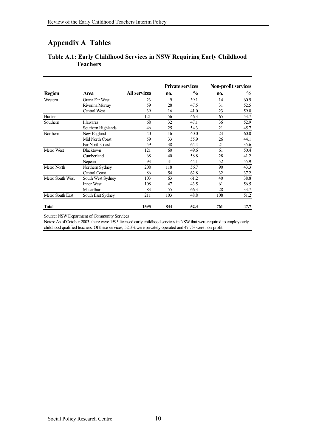## <span id="page-15-0"></span>**Appendix A Tables**

|                  | Area                   | <b>All services</b> | <b>Private services</b> |               | <b>Non-profit services</b>               |      |
|------------------|------------------------|---------------------|-------------------------|---------------|------------------------------------------|------|
| <b>Region</b>    |                        |                     | no.                     | $\frac{0}{0}$ | no.                                      | $\%$ |
| Western          | Orana Far West         | 23                  | 9                       | 39.1          | 14                                       | 60.9 |
|                  | Riverina Murray        | 59                  | 28                      | 47.5          | 31                                       | 52.5 |
|                  | Central West           | 39                  | 16                      | 41.0          | 23                                       | 59.0 |
| Hunter           |                        | 121                 | 56                      | 46.3          | 65                                       | 53.7 |
| Southern         | Illawarra              | 68                  | 32                      | 47.1          | 36                                       | 52.9 |
|                  | Southern Highlands     | 46                  | 25                      | 54.3          | 21                                       | 45.7 |
| Northern         | New England            | 40                  | 16                      | 40.0          | 24                                       | 60.0 |
|                  | Mid North Coast        | 59                  | 33                      | 55.9          | 26                                       | 44.1 |
|                  | <b>Far North Coast</b> | 59                  | 38                      | 64.4          | 21                                       | 35.6 |
| Metro West       | Blacktown              | 121                 | 60                      | 49.6          | 61                                       | 50.4 |
|                  | Cumberland             | 68                  | 40                      | 58.8          | 28                                       | 41.2 |
|                  | Nepean                 | 93                  | 41                      | 44.1          | 52                                       | 55.9 |
| Metro North      | Northern Sydney        | 208                 | 118                     | 56.7          | 90<br>32<br>40<br>61<br>28<br>108<br>761 | 43.3 |
|                  | Central Coast          | 86                  | 54                      | 62.8          |                                          | 37.2 |
| Metro South West | South West Sydney      | 103                 | 63                      | 61.2          |                                          | 38.8 |
|                  | <b>Inner West</b>      | 108                 | 47                      | 43.5          |                                          | 56.5 |
|                  | Macarthur              | 83                  | 55                      | 66.3          |                                          | 33.7 |
| Metro South East | South East Sydney      | 211                 | 103                     | 48.8          |                                          | 51.2 |
| Total            |                        | 1595                | 834                     | 52.3          |                                          | 47.7 |

### **Table A.1: Early Childhood Services in NSW Requiring Early Childhood Teachers**

Source: NSW Department of Community Services

Notes: As of October 2003, there were 1595 licensed early childhood services in NSW that were required to employ early childhood qualified teachers. Of these services, 52.3% were privately operated and 47.7% were non-profit.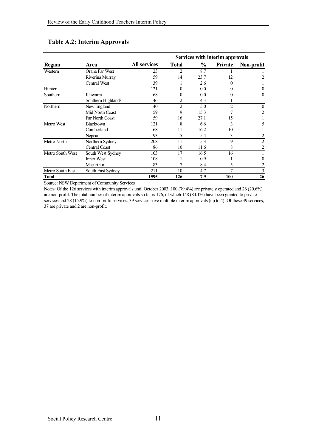|                  | Area                   |                     | Services with interim approvals                                                                                                                                                             |          |          |            |
|------------------|------------------------|---------------------|---------------------------------------------------------------------------------------------------------------------------------------------------------------------------------------------|----------|----------|------------|
| <b>Region</b>    |                        | <b>All services</b> | <b>Total</b>                                                                                                                                                                                | $\%$     | Private  | Non-profit |
| Western          | Orana Far West         | 23                  | 2                                                                                                                                                                                           | 8.7      |          |            |
|                  | Riverina Murray        | 59                  | 14                                                                                                                                                                                          | 23.7     | 12       |            |
|                  | <b>Central West</b>    | 39                  |                                                                                                                                                                                             | 2.6      | 0        |            |
| Hunter           |                        | 121                 | $\theta$                                                                                                                                                                                    | 0.0      | $\theta$ | 0          |
| Southern         | Illawarra              | 68                  | $\theta$<br>$\theta$<br>0.0<br>4.3<br>2<br>$\overline{c}$<br>5.0<br>$\overline{2}$<br>9<br>15.3<br>27.1<br>16<br>15<br>8<br>3<br>6.6<br>16.2<br>11<br>10<br>5<br>5.4<br>3<br>9<br>11<br>5.3 | $\theta$ |          |            |
|                  | Southern Highlands     | 46                  |                                                                                                                                                                                             |          |          |            |
| Northern         | New England            | 40                  |                                                                                                                                                                                             |          |          | $\theta$   |
|                  | Mid North Coast        | 59                  |                                                                                                                                                                                             |          |          | 2          |
|                  | <b>Far North Coast</b> | 59                  |                                                                                                                                                                                             |          |          |            |
| Metro West       | <b>Blacktown</b>       | 121                 |                                                                                                                                                                                             |          |          | 5          |
|                  | Cumberland             | 68                  |                                                                                                                                                                                             |          |          |            |
|                  | Nepean                 | 93                  |                                                                                                                                                                                             |          |          | 2          |
| Metro North      | Northern Sydney        | 208                 |                                                                                                                                                                                             |          |          | 2          |
|                  | <b>Central Coast</b>   | 86                  | 10                                                                                                                                                                                          | 11.6     | 8        | 2          |
| Metro South West | South West Sydney      | 103                 | 17                                                                                                                                                                                          | 16.5     | 16       |            |
|                  | <b>Inner West</b>      | 108                 |                                                                                                                                                                                             | 0.9      |          | 0          |
|                  | Macarthur              | 83                  | 7                                                                                                                                                                                           | 8.4      | 5        | 2          |
| Metro South East | South East Sydney      | 211                 | 10                                                                                                                                                                                          | 4.7      |          | 3          |
| <b>Total</b>     |                        | 1595                | 126                                                                                                                                                                                         | 7.9      | 100      | 26         |

### **Table A.2: Interim Approvals**

Source: NSW Department of Community Services

Notes: Of the 126 services with interim approvals until October 2003, 100 (79.4%) are privately operated and 26 (20.6%) are non-profit. The total number of interim approvals so far is 176, of which 148 (84.1%) have been granted to private services and 28 (15.9%) to non-profit services. 39 services have multiple interim approvals (up to 4). Of these 39 services, 37 are private and 2 are non-profit.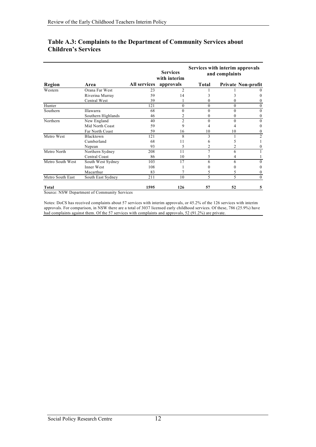|                  | Area                        |              | <b>Services</b><br>with interim | Services with interim approvals<br>and complaints |          |                           |
|------------------|-----------------------------|--------------|---------------------------------|---------------------------------------------------|----------|---------------------------|
| Region           |                             | All services | approvals                       | <b>Total</b>                                      |          | <b>Private Non-profit</b> |
| Western          | Orana Far West              | 23           | $\overline{c}$                  |                                                   |          |                           |
|                  | Riverina Murray             | 59           | 14                              |                                                   |          |                           |
|                  | Central West                | 39           |                                 | 0                                                 | 0        |                           |
| Hunter           |                             | 121          | $\theta$                        | $\theta$                                          | $\Omega$ | $\Omega$                  |
| Southern         | Illawarra                   | 68           | $\Omega$                        | $\theta$                                          | 0        | $\Omega$                  |
|                  | Southern Highlands          | 46           | 2                               | $\theta$                                          |          | $\Omega$                  |
| Northern         | New England                 | 40           | $\overline{c}$                  | $\theta$                                          | 0        | $\Omega$                  |
|                  | Mid North Coast             | 59           | 9                               | 4                                                 |          |                           |
|                  | Far North Coast             | 59           | 16                              | 10                                                | 10       | 0                         |
| Metro West       | Blacktown                   | 121          | 8                               | 3                                                 |          | 2                         |
|                  | Cumberland                  | 68           | 11                              | b                                                 |          |                           |
|                  | Nepean                      | 93           | 5                               |                                                   |          |                           |
| Metro North      | Northern Sydney             | 208          | 11                              | 7                                                 | h        |                           |
|                  | Central Coast               | 86           | 10                              | 5                                                 |          |                           |
| Metro South West | South West Sydney           | 103          | 17                              | 6                                                 | 6        | 0                         |
|                  | Inner West                  | 108          |                                 | 0                                                 |          |                           |
|                  | Macarthur                   | 83           |                                 | 5                                                 | 5        |                           |
| Metro South East | South East Sydney           | 211          | 10                              | 5                                                 | 5        | $\Omega$                  |
| Total<br>MOW D   | $\sqrt{2}$<br>$\sim$ $\sim$ | 1595         | 126                             | 57                                                | 52       | 5                         |

### **Table A.3: Complaints to the Department of Community Services about Children's Services**

Source: NSW Department of Community Services

Notes: DoCS has received complaints about 57 services with interim approvals, or 45.2% of the 126 services with interim approvals. For comparison, in NSW there are a total of 3037 licensed early childhood services. Of these, 786 (25.9%) have had complaints against them. Of the 57 services with complaints and approvals, 52 (91.2%) are private.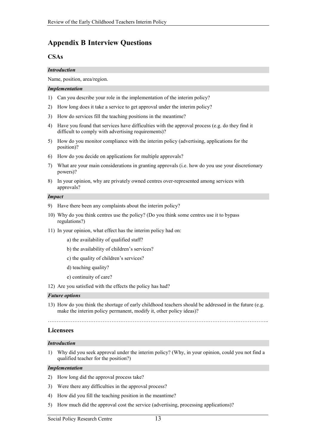### <span id="page-18-0"></span>**Appendix B Interview Questions**

#### **CSAs**

#### *Introduction*

Name, position, area/region.

#### *Implementation*

- 1) Can you describe your role in the implementation of the interim policy?
- 2) How long does it take a service to get approval under the interim policy?
- 3) How do services fill the teaching positions in the meantime?
- 4) Have you found that services have difficulties with the approval process (e.g. do they find it difficult to comply with advertising requirements)?
- 5) How do you monitor compliance with the interim policy (advertising, applications for the position)?
- 6) How do you decide on applications for multiple approvals?
- 7) What are your main considerations in granting approvals (i.e. how do you use your discretionary powers)?
- 8) In your opinion, why are privately owned centres over-represented among services with approvals?

#### *Impact*

- 9) Have there been any complaints about the interim policy?
- 10) Why do you think centres use the policy? (Do you think some centres use it to bypass regulations?)
- 11) In your opinion, what effect has the interim policy had on:
	- a) the availability of qualified staff?
	- b) the availability of children's services?
	- c) the quality of children's services?
	- d) teaching quality?
	- e) continuity of care?
- 12) Are you satisfied with the effects the policy has had?

#### *Future options*

13) How do you think the shortage of early childhood teachers should be addressed in the future (e.g. make the interim policy permanent, modify it, other policy ideas)?

ÖÖÖÖÖÖÖÖÖÖÖÖÖÖÖÖÖÖÖÖÖÖÖÖÖÖÖÖÖÖÖÖÖÖÖÖÖÖÖÖÖ..

#### **Licensees**

#### *Introduction*

1) Why did you seek approval under the interim policy? (Why, in your opinion, could you not find a qualified teacher for the position?)

#### *Implementation*

- 2) How long did the approval process take?
- 3) Were there any difficulties in the approval process?
- 4) How did you fill the teaching position in the meantime?
- 5) How much did the approval cost the service (advertising, processing applications)?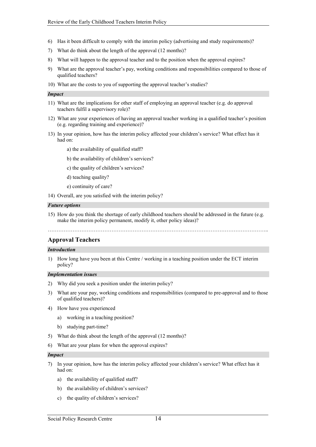- 6) Has it been difficult to comply with the interim policy (advertising and study requirements)?
- 7) What do think about the length of the approval (12 months)?
- 8) What will happen to the approval teacher and to the position when the approval expires?
- 9) What are the approval teacher's pay, working conditions and responsibilities compared to those of qualified teachers?
- 10) What are the costs to you of supporting the approval teacher's studies?

#### *Impact*

- 11) What are the implications for other staff of employing an approval teacher (e.g. do approval teachers fulfil a supervisory role)?
- 12) What are your experiences of having an approval teacher working in a qualified teacher's position (e.g. regarding training and experience)?
- 13) In your opinion, how has the interim policy affected your children's service? What effect has it had on:
	- a) the availability of qualified staff?
	- b) the availability of children's services?
	- c) the quality of children's services?
	- d) teaching quality?
	- e) continuity of care?
- 14) Overall, are you satisfied with the interim policy?

#### *Future options*

15) How do you think the shortage of early childhood teachers should be addressed in the future (e.g. make the interim policy permanent, modify it, other policy ideas)?

ÖÖÖÖÖÖÖÖÖÖÖÖÖÖÖÖÖÖÖÖÖÖÖÖÖÖÖÖÖÖÖÖÖÖÖÖÖÖÖÖÖ..

#### **Approval Teachers**

#### *Introduction*

1) How long have you been at this Centre / working in a teaching position under the ECT interim policy?

#### *Implementation issues*

- 2) Why did you seek a position under the interim policy?
- 3) What are your pay, working conditions and responsibilities (compared to pre-approval and to those of qualified teachers)?
- 4) How have you experienced
	- a) working in a teaching position?
	- b) studying part-time?
- 5) What do think about the length of the approval (12 months)?
- 6) What are your plans for when the approval expires?

#### *Impact*

- 7) In your opinion, how has the interim policy affected your children's service? What effect has it had on:
	- a) the availability of qualified staff?
	- b) the availability of children's services?
	- c) the quality of children's services?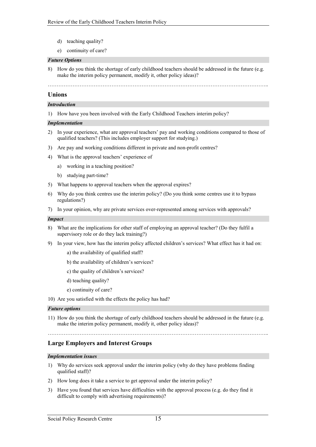- d) teaching quality?
- e) continuity of care?

#### *Future Options*

8) How do you think the shortage of early childhood teachers should be addressed in the future (e.g. make the interim policy permanent, modify it, other policy ideas)?

#### ÖÖÖÖÖÖÖÖÖÖÖÖÖÖÖÖÖÖÖÖÖÖÖÖÖÖÖÖÖÖÖÖÖÖÖÖÖÖÖÖÖ..

#### **Unions**

#### *Introduction*

1) How have you been involved with the Early Childhood Teachers interim policy?

#### *Implementation*

- 2) In your experience, what are approval teachers' pay and working conditions compared to those of qualified teachers? (This includes employer support for studying.)
- 3) Are pay and working conditions different in private and non-profit centres?
- 4) What is the approval teachers' experience of
	- a) working in a teaching position?
	- b) studying part-time?
- 5) What happens to approval teachers when the approval expires?
- 6) Why do you think centres use the interim policy? (Do you think some centres use it to bypass regulations?)
- 7) In your opinion, why are private services over-represented among services with approvals?

#### *Impact*

- 8) What are the implications for other staff of employing an approval teacher? (Do they fulfil a supervisory role or do they lack training?)
- 9) In your view, how has the interim policy affected children's services? What effect has it had on:
	- a) the availability of qualified staff?
	- b) the availability of children's services?
	- c) the quality of children's services?
	- d) teaching quality?
	- e) continuity of care?
- 10) Are you satisfied with the effects the policy has had?

#### *Future options*

11) How do you think the shortage of early childhood teachers should be addressed in the future (e.g. make the interim policy permanent, modify it, other policy ideas)?

ÖÖÖÖÖÖÖÖÖÖÖÖÖÖÖÖÖÖÖÖÖÖÖÖÖÖÖÖÖÖÖÖÖÖÖÖÖÖÖÖÖ..

#### **Large Employers and Interest Groups**

#### *Implementation issues*

- 1) Why do services seek approval under the interim policy (why do they have problems finding qualified staff)?
- 2) How long does it take a service to get approval under the interim policy?
- 3) Have you found that services have difficulties with the approval process (e.g. do they find it difficult to comply with advertising requirements)?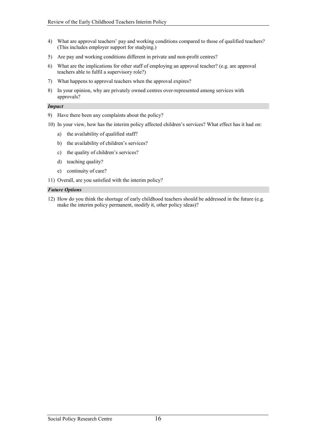- 4) What are approval teachers' pay and working conditions compared to those of qualified teachers? (This includes employer support for studying.)
- 5) Are pay and working conditions different in private and non-profit centres?
- 6) What are the implications for other staff of employing an approval teacher? (e.g. are approval teachers able to fulfil a supervisory role?)
- 7) What happens to approval teachers when the approval expires?
- 8) In your opinion, why are privately owned centres over-represented among services with approvals?

#### *Impact*

- 9) Have there been any complaints about the policy?
- 10) In your view, how has the interim policy affected children's services? What effect has it had on:
	- a) the availability of qualified staff?
	- b) the availability of children's services?
	- c) the quality of children's services?
	- d) teaching quality?
	- e) continuity of care?
- 11) Overall, are you satisfied with the interim policy?

#### *Future Options*

12) How do you think the shortage of early childhood teachers should be addressed in the future (e.g. make the interim policy permanent, modify it, other policy ideas)?